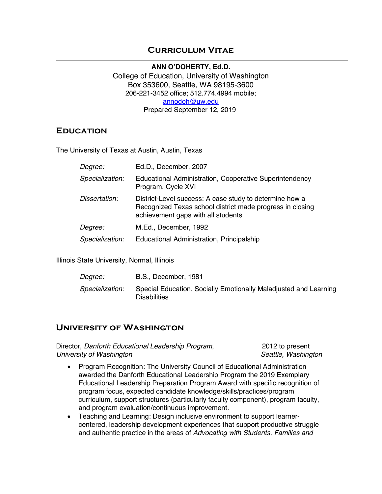## **Curriculum Vitae**

**ANN O'DOHERTY, Ed.D.** College of Education, University of Washington Box 353600, Seattle, WA 98195-3600 206-221-3452 office; 512.774.4994 mobile; annodoh@uw.edu Prepared September 12, 2019

### **Education**

The University of Texas at Austin, Austin, Texas

| Degree:         | Ed.D., December, 2007                                                                                                                                      |
|-----------------|------------------------------------------------------------------------------------------------------------------------------------------------------------|
| Specialization: | Educational Administration, Cooperative Superintendency<br>Program, Cycle XVI                                                                              |
| Dissertation:   | District-Level success: A case study to determine how a<br>Recognized Texas school district made progress in closing<br>achievement gaps with all students |
| Degree:         | M.Ed., December, 1992                                                                                                                                      |
| Specialization: | Educational Administration, Principalship                                                                                                                  |

Illinois State University, Normal, Illinois

| <i>Degree:</i>  | B.S., December, 1981                                                                    |
|-----------------|-----------------------------------------------------------------------------------------|
| Specialization: | Special Education, Socially Emotionally Maladjusted and Learning<br><b>Disabilities</b> |

## **University of Washington**

Director, *Danforth Educational Leadership Program*, 2012 to present *University of Washington Seattle, Washington*

- Program Recognition: The University Council of Educational Administration awarded the Danforth Educational Leadership Program the 2019 Exemplary Educational Leadership Preparation Program Award with specific recognition of program focus, expected candidate knowledge/skills/practices/program curriculum, support structures (particularly faculty component), program faculty, and program evaluation/continuous improvement.
- Teaching and Learning: Design inclusive environment to support learnercentered, leadership development experiences that support productive struggle and authentic practice in the areas of *Advocating with Students, Families and*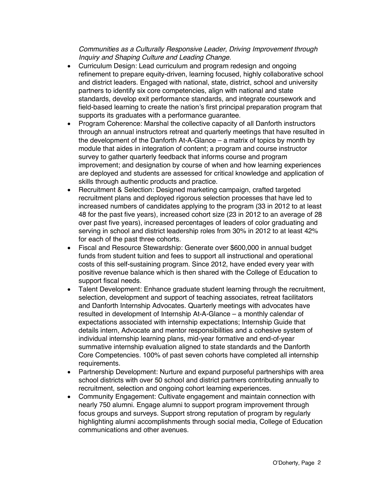*Communities as a Culturally Responsive Leader, Driving Improvement through Inquiry and Shaping Culture and Leading Change*.

- Curriculum Design: Lead curriculum and program redesign and ongoing refinement to prepare equity-driven, learning focused, highly collaborative school and district leaders. Engaged with national, state, district, school and university partners to identify six core competencies, align with national and state standards, develop exit performance standards, and integrate coursework and field-based learning to create the nation's first principal preparation program that supports its graduates with a performance guarantee.
- Program Coherence: Marshal the collective capacity of all Danforth instructors through an annual instructors retreat and quarterly meetings that have resulted in the development of the Danforth At-A-Glance – a matrix of topics by month by module that aides in integration of content; a program and course instructor survey to gather quarterly feedback that informs course and program improvement; and designation by course of when and how learning experiences are deployed and students are assessed for critical knowledge and application of skills through authentic products and practice.
- Recruitment & Selection: Designed marketing campaign, crafted targeted recruitment plans and deployed rigorous selection processes that have led to increased numbers of candidates applying to the program (33 in 2012 to at least 48 for the past five years), increased cohort size (23 in 2012 to an average of 28 over past five years), increased percentages of leaders of color graduating and serving in school and district leadership roles from 30% in 2012 to at least 42% for each of the past three cohorts.
- Fiscal and Resource Stewardship: Generate over \$600,000 in annual budget funds from student tuition and fees to support all instructional and operational costs of this self-sustaining program. Since 2012, have ended every year with positive revenue balance which is then shared with the College of Education to support fiscal needs.
- Talent Development: Enhance graduate student learning through the recruitment, selection, development and support of teaching associates, retreat facilitators and Danforth Internship Advocates. Quarterly meetings with advocates have resulted in development of Internship At-A-Glance – a monthly calendar of expectations associated with internship expectations; Internship Guide that details intern, Advocate and mentor responsibilities and a cohesive system of individual internship learning plans, mid-year formative and end-of-year summative internship evaluation aligned to state standards and the Danforth Core Competencies. 100% of past seven cohorts have completed all internship requirements.
- Partnership Development: Nurture and expand purposeful partnerships with area school districts with over 50 school and district partners contributing annually to recruitment, selection and ongoing cohort learning experiences.
- Community Engagement: Cultivate engagement and maintain connection with nearly 750 alumni. Engage alumni to support program improvement through focus groups and surveys. Support strong reputation of program by regularly highlighting alumni accomplishments through social media, College of Education communications and other avenues.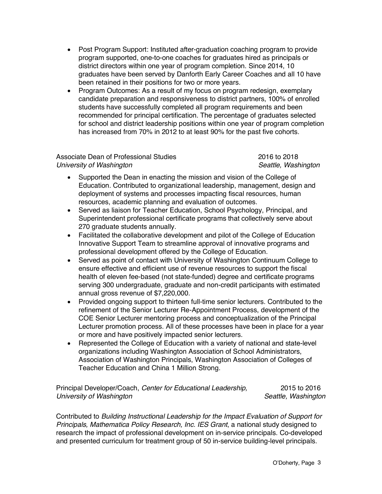- Post Program Support: Instituted after-graduation coaching program to provide program supported, one-to-one coaches for graduates hired as principals or district directors within one year of program completion. Since 2014, 10 graduates have been served by Danforth Early Career Coaches and all 10 have been retained in their positions for two or more years.
- Program Outcomes: As a result of my focus on program redesign, exemplary candidate preparation and responsiveness to district partners, 100% of enrolled students have successfully completed all program requirements and been recommended for principal certification. The percentage of graduates selected for school and district leadership positions within one year of program completion has increased from 70% in 2012 to at least 90% for the past five cohorts.

#### Associate Dean of Professional Studies 2016 to 2018 *University of Washington Seattle, Washington*

- Supported the Dean in enacting the mission and vision of the College of Education. Contributed to organizational leadership, management, design and deployment of systems and processes impacting fiscal resources, human resources, academic planning and evaluation of outcomes.
- Served as liaison for Teacher Education, School Psychology, Principal, and Superintendent professional certificate programs that collectively serve about 270 graduate students annually.
- Facilitated the collaborative development and pilot of the College of Education Innovative Support Team to streamline approval of innovative programs and professional development offered by the College of Education.
- Served as point of contact with University of Washington Continuum College to ensure effective and efficient use of revenue resources to support the fiscal health of eleven fee-based (not state-funded) degree and certificate programs serving 300 undergraduate, graduate and non-credit participants with estimated annual gross revenue of \$7,220,000.
- Provided ongoing support to thirteen full-time senior lecturers. Contributed to the refinement of the Senior Lecturer Re-Appointment Process, development of the COE Senior Lecturer mentoring process and conceptualization of the Principal Lecturer promotion process. All of these processes have been in place for a year or more and have positively impacted senior lecturers.
- Represented the College of Education with a variety of national and state-level organizations including Washington Association of School Administrators, Association of Washington Principals, Washington Association of Colleges of Teacher Education and China 1 Million Strong.

| Principal Developer/Coach, Center for Educational Leadership, | 2015 to 2016        |
|---------------------------------------------------------------|---------------------|
| University of Washington                                      | Seattle, Washington |

Contributed to *Building Instructional Leadership for the Impact Evaluation of Support for Principals, Mathematica Policy Research, Inc. IES Grant*, a national study designed to research the impact of professional development on in-service principals. Co-developed and presented curriculum for treatment group of 50 in-service building-level principals.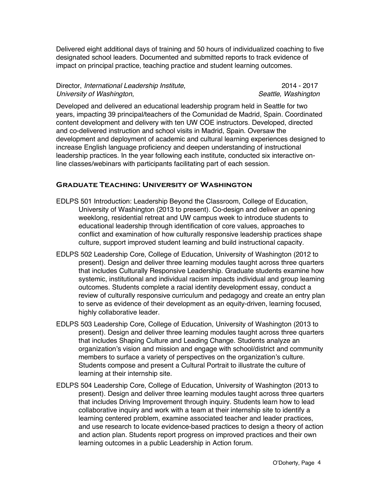Delivered eight additional days of training and 50 hours of individualized coaching to five designated school leaders. Documented and submitted reports to track evidence of impact on principal practice, teaching practice and student learning outcomes.

| Director, International Leadership Institute, | 2014 - 2017         |
|-----------------------------------------------|---------------------|
| University of Washington,                     | Seattle, Washington |

Developed and delivered an educational leadership program held in Seattle for two years, impacting 39 principal/teachers of the Comunidad de Madrid, Spain. Coordinated content development and delivery with ten UW COE instructors. Developed, directed and co-delivered instruction and school visits in Madrid, Spain. Oversaw the development and deployment of academic and cultural learning experiences designed to increase English language proficiency and deepen understanding of instructional leadership practices. In the year following each institute, conducted six interactive online classes/webinars with participants facilitating part of each session.

#### **Graduate Teaching: University of Washington**

- EDLPS 501 Introduction: Leadership Beyond the Classroom, College of Education, University of Washington (2013 to present). Co-design and deliver an opening weeklong, residential retreat and UW campus week to introduce students to educational leadership through identification of core values, approaches to conflict and examination of how culturally responsive leadership practices shape culture, support improved student learning and build instructional capacity.
- EDLPS 502 Leadership Core, College of Education, University of Washington (2012 to present). Design and deliver three learning modules taught across three quarters that includes Culturally Responsive Leadership. Graduate students examine how systemic, institutional and individual racism impacts individual and group learning outcomes. Students complete a racial identity development essay, conduct a review of culturally responsive curriculum and pedagogy and create an entry plan to serve as evidence of their development as an equity-driven, learning focused, highly collaborative leader.
- EDLPS 503 Leadership Core, College of Education, University of Washington (2013 to present). Design and deliver three learning modules taught across three quarters that includes Shaping Culture and Leading Change. Students analyze an organization's vision and mission and engage with school/district and community members to surface a variety of perspectives on the organization's culture. Students compose and present a Cultural Portrait to illustrate the culture of learning at their internship site.
- EDLPS 504 Leadership Core, College of Education, University of Washington (2013 to present). Design and deliver three learning modules taught across three quarters that includes Driving Improvement through inquiry. Students learn how to lead collaborative inquiry and work with a team at their internship site to identify a learning centered problem, examine associated teacher and leader practices, and use research to locate evidence-based practices to design a theory of action and action plan. Students report progress on improved practices and their own learning outcomes in a public Leadership in Action forum.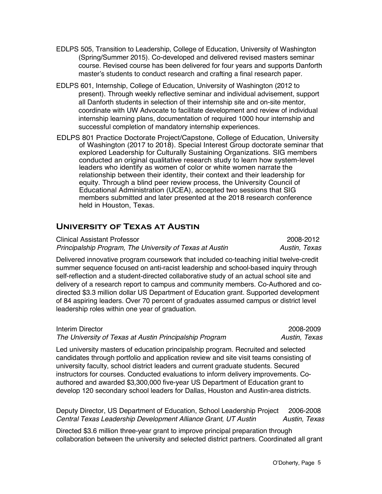- EDLPS 505, Transition to Leadership, College of Education, University of Washington (Spring/Summer 2015). Co-developed and delivered revised masters seminar course. Revised course has been delivered for four years and supports Danforth master's students to conduct research and crafting a final research paper.
- EDLPS 601, Internship, College of Education, University of Washington (2012 to present). Through weekly reflective seminar and individual advisement, support all Danforth students in selection of their internship site and on-site mentor, coordinate with UW Advocate to facilitate development and review of individual internship learning plans, documentation of required 1000 hour internship and successful completion of mandatory internship experiences.
- EDLPS 801 Practice Doctorate Project/Capstone, College of Education, University of Washington (2017 to 2018). Special Interest Group doctorate seminar that explored Leadership for Culturally Sustaining Organizations. SIG members conducted an original qualitative research study to learn how system-level leaders who identify as women of color or white women narrate the relationship between their identity, their context and their leadership for equity. Through a blind peer review process, the University Council of Educational Administration (UCEA), accepted two sessions that SIG members submitted and later presented at the 2018 research conference held in Houston, Texas.

# **University of Texas at Austin**

Clinical Assistant Professor 2008-2012 *Principalship Program, The University of Texas at Austin Austin, Texas*

Delivered innovative program coursework that included co-teaching initial twelve-credit summer sequence focused on anti-racist leadership and school-based inquiry through self-reflection and a student-directed collaborative study of an actual school site and delivery of a research report to campus and community members. Co-Authored and codirected \$3.3 million dollar US Department of Education grant. Supported development of 84 aspiring leaders. Over 70 percent of graduates assumed campus or district level leadership roles within one year of graduation.

Interim Director 2008-2009 *The University of Texas at Austin Principalship Program Austin, Texas*

Led university masters of education principalship program. Recruited and selected candidates through portfolio and application review and site visit teams consisting of university faculty, school district leaders and current graduate students. Secured instructors for courses. Conducted evaluations to inform delivery improvements. Coauthored and awarded \$3,300,000 five-year US Department of Education grant to develop 120 secondary school leaders for Dallas, Houston and Austin-area districts.

Deputy Director, US Department of Education, School Leadership Project 2006-2008 *Central Texas Leadership Development Alliance Grant, UT Austin Austin, Texas*

Directed \$3.6 million three-year grant to improve principal preparation through collaboration between the university and selected district partners. Coordinated all grant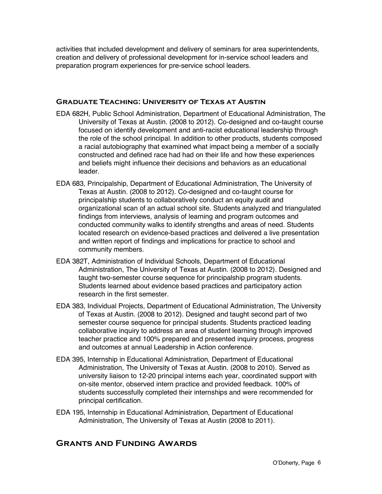activities that included development and delivery of seminars for area superintendents, creation and delivery of professional development for in-service school leaders and preparation program experiences for pre-service school leaders.

#### **Graduate Teaching: University of Texas at Austin**

- EDA 682H, Public School Administration, Department of Educational Administration, The University of Texas at Austin. (2008 to 2012). Co-designed and co-taught course focused on identify development and anti-racist educational leadership through the role of the school principal. In addition to other products, students composed a racial autobiography that examined what impact being a member of a socially constructed and defined race had had on their life and how these experiences and beliefs might influence their decisions and behaviors as an educational leader.
- EDA 683, Principalship, Department of Educational Administration, The University of Texas at Austin. (2008 to 2012). Co-designed and co-taught course for principalship students to collaboratively conduct an equity audit and organizational scan of an actual school site. Students analyzed and triangulated findings from interviews, analysis of learning and program outcomes and conducted community walks to identify strengths and areas of need. Students located research on evidence-based practices and delivered a live presentation and written report of findings and implications for practice to school and community members.
- EDA 382T, Administration of Individual Schools, Department of Educational Administration, The University of Texas at Austin. (2008 to 2012). Designed and taught two-semester course sequence for principalship program students. Students learned about evidence based practices and participatory action research in the first semester.
- EDA 383, Individual Projects, Department of Educational Administration, The University of Texas at Austin. (2008 to 2012). Designed and taught second part of two semester course sequence for principal students. Students practiced leading collaborative inquiry to address an area of student learning through improved teacher practice and 100% prepared and presented inquiry process, progress and outcomes at annual Leadership in Action conference.
- EDA 395, Internship in Educational Administration, Department of Educational Administration, The University of Texas at Austin. (2008 to 2010). Served as university liaison to 12-20 principal interns each year, coordinated support with on-site mentor, observed intern practice and provided feedback. 100% of students successfully completed their internships and were recommended for principal certification.
- EDA 195, Internship in Educational Administration, Department of Educational Administration, The University of Texas at Austin (2008 to 2011).

# **Grants and Funding Awards**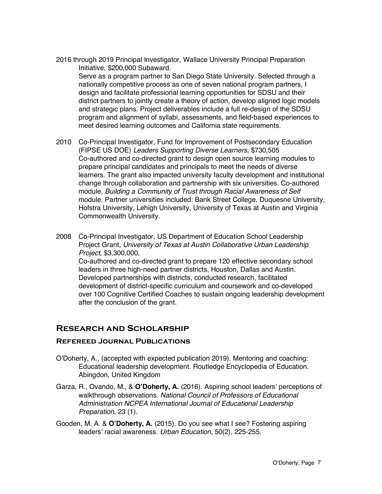- 2016 through 2019 Principal Investigator, Wallace University Principal Preparation Initiative, \$200,000 Subaward. Serve as a program partner to San Diego State University. Selected through a nationally competitive process as one of seven national program partners, I design and facilitate professional learning opportunities for SDSU and their district partners to jointly create a theory of action, develop aligned logic models and strategic plans. Project deliverables include a full re-design of the SDSU program and alignment of syllabi, assessments, and field-based experiences to meet desired learning outcomes and California state requirements.
- 2010 Co-Principal Investigator, Fund for Improvement of Postsecondary Education (FIPSE US DOE) *Leaders Supporting Diverse Learners*, \$730,505 Co-authored and co-directed grant to design open source learning modules to prepare principal candidates and principals to meet the needs of diverse learners. The grant also impacted university faculty development and institutional change through collaboration and partnership with six universities. Co-authored module, *Building a Community of Trust through Racial Awareness of Self* module. Partner universities included: Bank Street College, Duquesne University, Hofstra University, Lehigh University, University of Texas at Austin and Virginia Commonwealth University.
- 2008 Co-Principal Investigator, US Department of Education School Leadership Project Grant, *University of Texas at Austin Collaborative Urban Leadership Project,* \$3,300,000, Co-authored and co-directed grant to prepare 120 effective secondary school leaders in three high-need partner districts, Houston, Dallas and Austin. Developed partnerships with districts, conducted research, facilitated development of district-specific curriculum and coursework and co-developed over 100 Cognitive Certified Coaches to sustain ongoing leadership development after the conclusion of the grant.

### **Research and Scholarship**

#### **Refereed Journal Publications**

- O'Doherty, A., (accepted with expected publication 2019). Mentoring and coaching: Educational leadership development. Routledge Encyclopedia of Education. Abingdon, United Kingdom
- Garza, R., Ovando, M., & **O'Doherty, A.** (2016). Aspiring school leaders' perceptions of walkthrough observations. *National Council of Professors of Educational Administration NCPEA International Journal of Educational Leadership Preparation*, 23 (1).
- Gooden, M. A. & **O'Doherty, A.** (2015). Do you see what I see? Fostering aspiring leaders' racial awareness. *Urban Education*, 50(2), 225-255.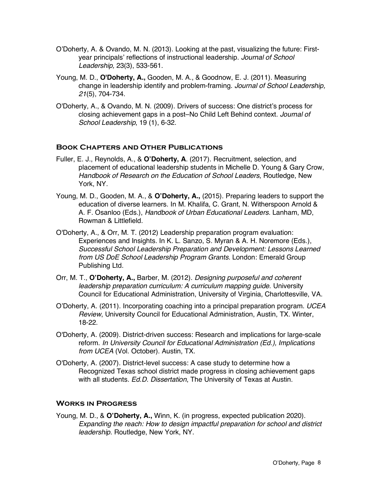- O'Doherty, A. & Ovando, M. N. (2013). Looking at the past, visualizing the future: Firstyear principals' reflections of instructional leadership. *Journal of School Leadership,* 23(3), 533-561.
- Young, M. D., **O'Doherty, A.,** Gooden, M. A., & Goodnow, E. J. (2011). Measuring change in leadership identify and problem-framing. *Journal of School Leadership, 21*(5), 704-734.
- O'Doherty, A., & Ovando, M. N. (2009). Drivers of success: One district's process for closing achievement gaps in a post–No Child Left Behind context. *Journal of School Leadership*, 19 (1), 6-32.

### **Book Chapters and Other Publications**

- Fuller, E. J., Reynolds, A., & **O'Doherty, A**. (2017). Recruitment, selection, and placement of educational leadership students in Michelle D. Young & Gary Crow, *Handbook of Research on the Education of School Leaders*, Routledge, New York, NY.
- Young, M. D., Gooden, M. A., & **O'Doherty, A.,** (2015). Preparing leaders to support the education of diverse learners. In M. Khalifa, C. Grant, N. Witherspoon Arnold & A. F. Osanloo (Eds.), *Handbook of Urban Educational Leaders*. Lanham, MD, Rowman & Littlefield.
- O'Doherty, A., & Orr, M. T. (2012) Leadership preparation program evaluation: Experiences and Insights. In K. L. Sanzo, S. Myran & A. H. Noremore (Eds.), *Successful School Leadership Preparation and Development: Lessons Learned from US DoE School Leadership Program Grants*. London: Emerald Group Publishing Ltd.
- Orr, M. T., **O'Doherty, A.,** Barber, M. (2012). *Designing purposeful and coherent leadership preparation curriculum: A curriculum mapping guide*. University Council for Educational Administration, University of Virginia, Charlottesville, VA.
- O'Doherty, A. (2011). Incorporating coaching into a principal preparation program. *UCEA Review*, University Council for Educational Administration, Austin, TX. Winter, 18-22.
- O'Doherty, A. (2009). District-driven success: Research and implications for large-scale reform. *In University Council for Educational Administration (Ed.), Implications from UCEA* (Vol. October). Austin, TX.
- O'Doherty, A. (2007). District-level success: A case study to determine how a Recognized Texas school district made progress in closing achievement gaps with all students. *Ed.D. Dissertation*, The University of Texas at Austin.

#### **Works in Progress**

Young, M. D., & **O'Doherty, A.,** Winn, K. (in progress, expected publication 2020). *Expanding the reach: How to design impactful preparation for school and district leadership*. Routledge, New York, NY.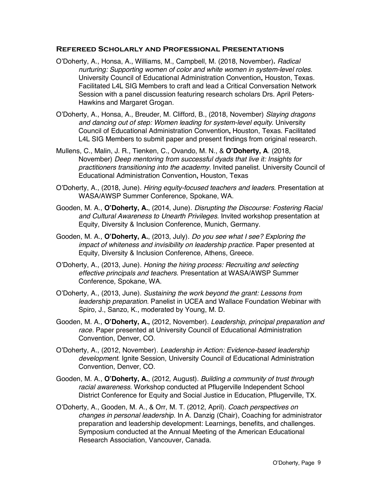#### **Refereed Scholarly and Professional Presentations**

- O'Doherty, A., Honsa, A., Williams, M., Campbell, M. (2018, November)**.** *Radical nurturing: Supporting women of color and white women in system-level roles.* University Council of Educational Administration Convention**,** Houston, Texas. Facilitated L4L SIG Members to craft and lead a Critical Conversation Network Session with a panel discussion featuring research scholars Drs. April Peters-Hawkins and Margaret Grogan.
- O'Doherty, A., Honsa, A., Breuder, M. Clifford, B., (2018, November) *Slaying dragons and dancing out of step: Women leading for system-level equity*. University Council of Educational Administration Convention**,** Houston, Texas. Facilitated L4L SIG Members to submit paper and present findings from original research.
- Mullens, C., Malin, J. R., Tienken, C., Ovando, M. N., & **O'Doherty, A**. (2018, November) *Deep mentoring from successful dyads that live it: Insights for practitioners transitioning into the academy.* Invited panelist. University Council of Educational Administration Convention**,** Houston, Texas
- O'Doherty, A., (2018, June). *Hiring equity-focused teachers and leaders*. Presentation at WASA/AWSP Summer Conference, Spokane, WA.
- Gooden, M. A., **O'Doherty, A.**, (2014, June). *Disrupting the Discourse: Fostering Racial and Cultural Awareness to Unearth Privileges.* Invited workshop presentation at Equity, Diversity & Inclusion Conference, Munich, Germany.
- Gooden, M. A., **O'Doherty, A.**, (2013, July). *Do you see what I see? Exploring the impact of whiteness and invisibility on leadership practice.* Paper presented at Equity, Diversity & Inclusion Conference, Athens, Greece.
- O'Doherty, A., (2013, June). *Honing the hiring process: Recruiting and selecting effective principals and teachers*. Presentation at WASA/AWSP Summer Conference, Spokane, WA.
- O'Doherty, A., (2013, June). *Sustaining the work beyond the grant: Lessons from leadership preparation*. Panelist in UCEA and Wallace Foundation Webinar with Spiro, J., Sanzo, K., moderated by Young, M. D.
- Gooden, M. A., **O'Doherty, A.,** (2012, November). *Leadership, principal preparation and race.* Paper presented at University Council of Educational Administration Convention, Denver, CO.
- O'Doherty, A., (2012, November). *Leadership in Action: Evidence-based leadership development*. Ignite Session, University Council of Educational Administration Convention, Denver, CO.
- Gooden, M. A., **O'Doherty, A.**, (2012, August). *Building a community of trust through racial awareness*. Workshop conducted at Pflugerville Independent School District Conference for Equity and Social Justice in Education, Pflugerville, TX.
- O'Doherty, A., Gooden, M. A., & Orr, M. T. (2012, April). *Coach perspectives on changes in personal leadership*. In A. Danzig (Chair), Coaching for administrator preparation and leadership development: Learnings, benefits, and challenges. Symposium conducted at the Annual Meeting of the American Educational Research Association, Vancouver, Canada.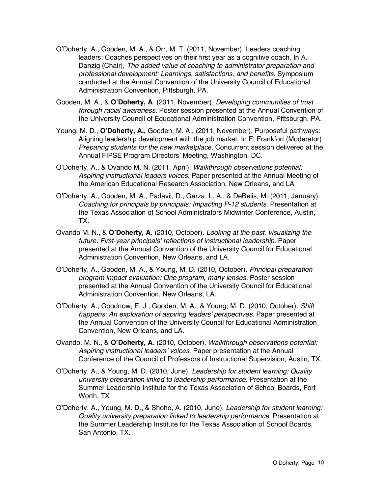- O'Doherty, A., Gooden, M. A., & Orr, M. T. (2011, November). Leaders coaching leaders: Coaches perspectives on their first year as a cognitive coach. In A. Danzig (Chair), *The added value of coaching to administrator preparation and professional development: Learnings, satisfactions, and benefits*. Symposium conducted at the Annual Convention of the University Council of Educational Administration Convention, Pittsburgh, PA.
- Gooden, M. A., & **O'Doherty, A**. (2011, November). *Developing communities of trust through racial awareness.* Poster session presented at the Annual Convention of the University Council of Educational Administration Convention, Pittsburgh, PA.
- Young, M. D., **O'Doherty, A.,** Gooden, M. A., (2011, November). Purposeful pathways: Aligning leadership development with the job market. In F. Frankfort (Moderator) *Preparing students for the new marketplace.* Concurrent session delivered at the Annual FIPSE Program Directors' Meeting, Washington, DC.
- O'Doherty, A., & Ovando M. N. (2011, April). *Walkthrough observations potential: Aspiring instructional leaders voices*. Paper presented at the Annual Meeting of the American Educational Research Association, New Orleans, and LA.
- O'Doherty, A., Gooden, M. A., Padavil, D., Garza, L. A., & DeBelis, M. (2011, January). *Coaching for principals by principals: Impacting P-12 students*. Presentation at the Texas Association of School Administrators Midwinter Conference, Austin, TX.
- Ovando M. N., & **O'Doherty, A.** (2010, October). *Looking at the past, visualizing the*  future: First-year principals' reflections of instructional leadership. Paper presented at the Annual Convention of the University Council for Educational Administration Convention, New Orleans, and LA.
- O'Doherty, A., Gooden, M. A., & Young, M. D. (2010, October). *Principal preparation program impact evaluation: One program, many lenses.* Poster session presented at the Annual Convention of the University Council for Educational Administration Convention, New Orleans, LA.
- O'Doherty, A., Goodnow, E. J., Gooden, M. A., & Young, M. D. (2010, October). *Shift happens: An exploration of aspiring leaders' perspectives.* Paper presented at the Annual Convention of the University Council for Educational Administration Convention, New Orleans, and LA.
- Ovando, M. N., & **O'Doherty, A**. (2010, October). *Walkthrough observations potential: Aspiring instructional leaders' voices*. Paper presentation at the Annual Conference of the Council of Professors of Instructional Supervision, Austin, TX.
- O'Doherty, A., & Young, M. D. (2010, June). *Leadership for student learning: Quality university preparation linked to leadership performance*. Presentation at the Summer Leadership Institute for the Texas Association of School Boards, Fort Worth, TX
- O'Doherty, A., Young, M. D., & Shoho, A. (2010, June). *Leadership for student learning: Quality university preparation linked to leadership performance*. Presentation at the Summer Leadership Institute for the Texas Association of School Boards, San Antonio, TX.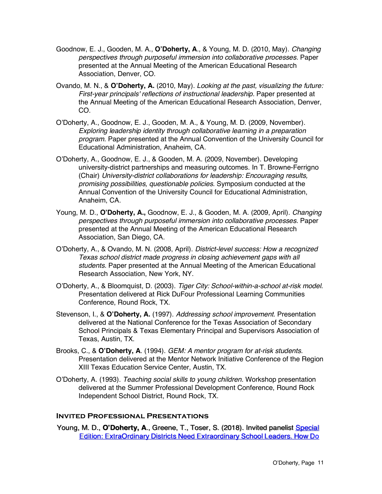- Goodnow, E. J., Gooden, M. A., **O'Doherty, A**., & Young, M. D. (2010, May). *Changing perspectives through purposeful immersion into collaborative processes.* Paper presented at the Annual Meeting of the American Educational Research Association, Denver, CO.
- Ovando, M. N., & **O'Doherty, A.** (2010, May). *Looking at the past, visualizing the future: First-year principals' reflections of instructional leadership.* Paper presented at the Annual Meeting of the American Educational Research Association, Denver, CO.
- O'Doherty, A., Goodnow, E. J., Gooden, M. A., & Young, M. D. (2009, November). *Exploring leadership identity through collaborative learning in a preparation program.* Paper presented at the Annual Convention of the University Council for Educational Administration, Anaheim, CA.
- O'Doherty, A., Goodnow, E. J., & Gooden, M. A. (2009, November). Developing university-district partnerships and measuring outcomes. In T. Browne-Ferrigno (Chair) *University-district collaborations for leadership: Encouraging results, promising possibilities, questionable policies.* Symposium conducted at the Annual Convention of the University Council for Educational Administration, Anaheim, CA.
- Young, M. D., **O'Doherty, A.,** Goodnow, E. J., & Gooden, M. A. (2009, April). *Changing perspectives through purposeful immersion into collaborative processes*. Paper presented at the Annual Meeting of the American Educational Research Association, San Diego, CA.
- O'Doherty, A., & Ovando, M. N. (2008, April). *District-level success: How a recognized Texas school district made progress in closing achievement gaps with all students.* Paper presented at the Annual Meeting of the American Educational Research Association, New York, NY.
- O'Doherty, A., & Bloomquist, D. (2003). *Tiger City: School-within-a-school at-risk model*. Presentation delivered at Rick DuFour Professional Learning Communities Conference, Round Rock, TX.
- Stevenson, I., & **O'Doherty, A.** (1997). *Addressing school improvement*. Presentation delivered at the National Conference for the Texas Association of Secondary School Principals & Texas Elementary Principal and Supervisors Association of Texas, Austin, TX.
- Brooks, C., & **O'Doherty, A**. (1994). *GEM: A mentor program for at-risk students*. Presentation delivered at the Mentor Network Initiative Conference of the Region XIII Texas Education Service Center, Austin, TX.
- O'Doherty, A. (1993). *Teaching social skills to young children.* Workshop presentation delivered at the Summer Professional Development Conference, Round Rock Independent School District, Round Rock, TX.

#### **Invited Professional Presentations**

Young, M. D., O'Doherty, A., Greene, T., Toser, S. (2018). Invited panelist Special Edition: ExtraOrdinary Districts Need Extraordinary School Leaders, How Do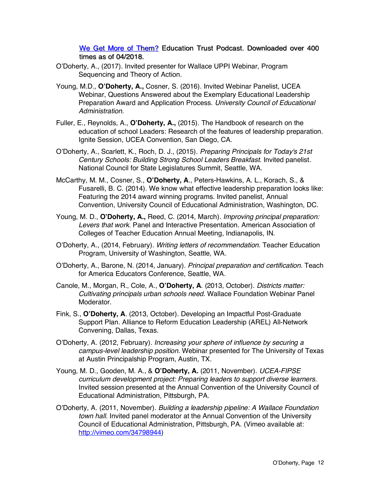We Get More of Them? Education Trust Podcast. Downloaded over 400 times as of  $04/2018$ .

- O'Doherty, A., (2017). Invited presenter for Wallace UPPI Webinar, Program Sequencing and Theory of Action.
- Young, M.D., **O'Doherty, A.,** Cosner, S. (2016). Invited Webinar Panelist, UCEA Webinar, Questions Answered about the Exemplary Educational Leadership Preparation Award and Application Process. *University Council of Educational Administration.*
- Fuller, E., Reynolds, A., **O'Doherty, A.,** (2015). The Handbook of research on the education of school Leaders: Research of the features of leadership preparation. Ignite Session, UCEA Convention, San Diego, CA.
- O'Doherty, A., Scarlett, K., Roch, D. J., (2015). *Preparing Principals for Today's 21st Century Schools: Building Strong School Leaders Breakfast*. Invited panelist. National Council for State Legislatures Summit, Seattle, WA.
- McCarthy, M. M., Cosner, S., **O'Doherty, A**., Peters-Hawkins, A. L., Korach, S., & Fusarelli, B. C. (2014). We know what effective leadership preparation looks like: Featuring the 2014 award winning programs. Invited panelist, Annual Convention, University Council of Educational Administration, Washington, DC.
- Young, M. D., **O'Doherty, A.,** Reed, C. (2014, March). *Improving principal preparation: Levers that work*. Panel and Interactive Presentation. American Association of Colleges of Teacher Education Annual Meeting, Indianapolis, IN.
- O'Doherty, A., (2014, February). *Writing letters of recommendation*. Teacher Education Program, University of Washington, Seattle, WA.
- O'Doherty, A., Barone, N. (2014, January). *Principal preparation and certification*. Teach for America Educators Conference, Seattle, WA.
- Canole, M., Morgan, R., Cole, A., **O'Doherty, A**. (2013, October). *Districts matter: Cultivating principals urban schools need.* Wallace Foundation Webinar Panel Moderator.
- Fink, S., **O'Doherty, A**. (2013, October). Developing an Impactful Post-Graduate Support Plan. Alliance to Reform Education Leadership (AREL) All-Network Convening, Dallas, Texas.
- O'Doherty, A. (2012, February). *Increasing your sphere of influence by securing a campus-level leadership position.* Webinar presented for The University of Texas at Austin Principalship Program, Austin, TX.
- Young, M. D., Gooden, M. A., & **O'Doherty, A.** (2011, November). *UCEA-FIPSE curriculum development project: Preparing leaders to support diverse learners.*  Invited session presented at the Annual Convention of the University Council of Educational Administration, Pittsburgh, PA.
- O'Doherty, A. (2011, November). *Building a leadership pipeline: A Wallace Foundation town hall*. Invited panel moderator at the Annual Convention of the University Council of Educational Administration, Pittsburgh, PA. (Vimeo available at: http://vimeo.com/34798944)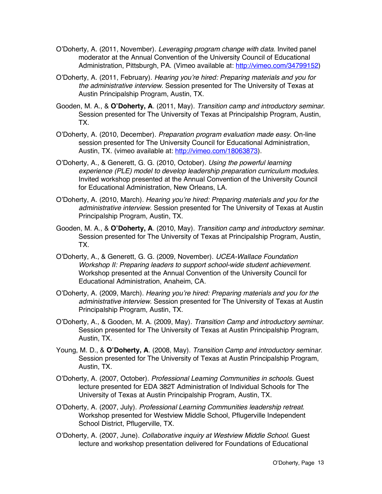- O'Doherty, A. (2011, November). *Leveraging program change with data*. Invited panel moderator at the Annual Convention of the University Council of Educational Administration, Pittsburgh, PA. (Vimeo available at: http://vimeo.com/34799152)
- O'Doherty, A. (2011, February). *Hearing you're hired: Preparing materials and you for the administrative interview*. Session presented for The University of Texas at Austin Principalship Program, Austin, TX.
- Gooden, M. A., & **O'Doherty, A**. (2011, May). *Transition camp and introductory seminar.*  Session presented for The University of Texas at Principalship Program, Austin, TX.
- O'Doherty, A. (2010, December). *Preparation program evaluation made easy*. On-line session presented for The University Council for Educational Administration, Austin, TX. (vimeo available at: http://vimeo.com/18063873).
- O'Doherty, A., & Generett, G. G. (2010, October). *Using the powerful learning experience (PLE) model to develop leadership preparation curriculum modules*. Invited workshop presented at the Annual Convention of the University Council for Educational Administration, New Orleans, LA.
- O'Doherty, A. (2010, March). *Hearing you're hired: Preparing materials and you for the administrative interview*. Session presented for The University of Texas at Austin Principalship Program, Austin, TX.
- Gooden, M. A., & **O'Doherty, A**. (2010, May). *Transition camp and introductory seminar.*  Session presented for The University of Texas at Principalship Program, Austin, TX.
- O'Doherty, A., & Generett, G. G. (2009, November). *UCEA-Wallace Foundation Workshop II: Preparing leaders to support school-wide student achievement.*  Workshop presented at the Annual Convention of the University Council for Educational Administration, Anaheim, CA.
- O'Doherty, A. (2009, March). *Hearing you're hired: Preparing materials and you for the administrative interview*. Session presented for The University of Texas at Austin Principalship Program, Austin, TX.
- O'Doherty, A., & Gooden, M. A. (2009, May). *Transition Camp and introductory seminar.*  Session presented for The University of Texas at Austin Principalship Program, Austin, TX.
- Young, M. D., & **O'Doherty, A**. (2008, May). *Transition Camp and introductory seminar.*  Session presented for The University of Texas at Austin Principalship Program, Austin, TX.
- O'Doherty, A. (2007, October). *Professional Learning Communities in schools*. Guest lecture presented for EDA 382T Administration of Individual Schools for The University of Texas at Austin Principalship Program, Austin, TX.
- O'Doherty, A. (2007, July). *Professional Learning Communities leadership retreat*. Workshop presented for Westview Middle School, Pflugerville Independent School District, Pflugerville, TX.
- O'Doherty, A. (2007, June). *Collaborative inquiry at Westview Middle School*. Guest lecture and workshop presentation delivered for Foundations of Educational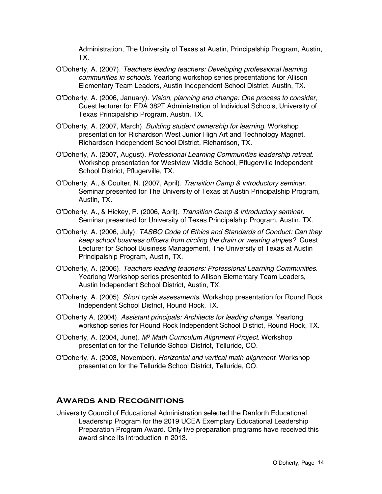Administration, The University of Texas at Austin, Principalship Program, Austin, TX.

- O'Doherty, A. (2007). *Teachers leading teachers: Developing professional learning communities in schools.* Yearlong workshop series presentations for Allison Elementary Team Leaders, Austin Independent School District, Austin, TX.
- O'Doherty, A. (2006, January). *Vision, planning and change: One process to consider*, Guest lecturer for EDA 382T Administration of Individual Schools, University of Texas Principalship Program, Austin, TX.
- O'Doherty, A. (2007, March). *Building student ownership for learning*. Workshop presentation for Richardson West Junior High Art and Technology Magnet, Richardson Independent School District, Richardson, TX.
- O'Doherty, A. (2007, August). *Professional Learning Communities leadership retreat*. Workshop presentation for Westview Middle School, Pflugerville Independent School District, Pflugerville, TX.
- O'Doherty, A., & Coulter, N. (2007, April). *Transition Camp & introductory seminar.*  Seminar presented for The University of Texas at Austin Principalship Program, Austin, TX.
- O'Doherty, A., & Hickey, P. (2006, April). *Transition Camp & introductory seminar*. Seminar presented for University of Texas Principalship Program, Austin, TX.
- O'Doherty, A. (2006, July). *TASBO Code of Ethics and Standards of Conduct: Can they keep school business officers from circling the drain or wearing stripes?* Guest Lecturer for School Business Management, The University of Texas at Austin Principalship Program, Austin, TX.
- O'Doherty, A. (2006). *Teachers leading teachers: Professional Learning Communities*. Yearlong Workshop series presented to Allison Elementary Team Leaders, Austin Independent School District, Austin, TX.
- O'Doherty, A. (2005). *Short cycle assessments*. Workshop presentation for Round Rock Independent School District, Round Rock, TX.
- O'Doherty A. (2004). *Assistant principals: Architects for leading change*. Yearlong workshop series for Round Rock Independent School District, Round Rock, TX.
- O'Doherty, A. (2004, June). *M3 Math Curriculum Alignment Project*. Workshop presentation for the Telluride School District, Telluride, CO.
- O'Doherty, A. (2003, November). *Horizontal and vertical math alignment*. Workshop presentation for the Telluride School District, Telluride, CO.

### **Awards and Recognitions**

University Council of Educational Administration selected the Danforth Educational Leadership Program for the 2019 UCEA Exemplary Educational Leadership Preparation Program Award. Only five preparation programs have received this award since its introduction in 2013.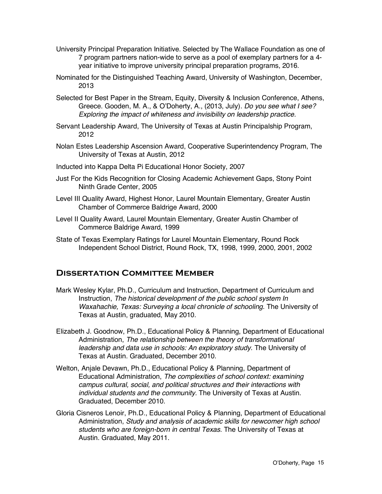- University Principal Preparation Initiative. Selected by The Wallace Foundation as one of 7 program partners nation-wide to serve as a pool of exemplary partners for a 4 year initiative to improve university principal preparation programs, 2016.
- Nominated for the Distinguished Teaching Award, University of Washington, December, 2013
- Selected for Best Paper in the Stream, Equity, Diversity & Inclusion Conference, Athens, Greece. Gooden, M. A., & O'Doherty, A., (2013, July). *Do you see what I see? Exploring the impact of whiteness and invisibility on leadership practice.*
- Servant Leadership Award, The University of Texas at Austin Principalship Program, 2012
- Nolan Estes Leadership Ascension Award, Cooperative Superintendency Program, The University of Texas at Austin, 2012
- Inducted into Kappa Delta Pi Educational Honor Society, 2007
- Just For the Kids Recognition for Closing Academic Achievement Gaps, Stony Point Ninth Grade Center, 2005
- Level III Quality Award, Highest Honor, Laurel Mountain Elementary, Greater Austin Chamber of Commerce Baldrige Award, 2000
- Level II Quality Award, Laurel Mountain Elementary, Greater Austin Chamber of Commerce Baldrige Award, 1999
- State of Texas Exemplary Ratings for Laurel Mountain Elementary, Round Rock Independent School District, Round Rock, TX, 1998, 1999, 2000, 2001, 2002

# **Dissertation Committee Member**

- Mark Wesley Kylar, Ph.D., Curriculum and Instruction, Department of Curriculum and Instruction, *The historical development of the public school system In Waxahachie, Texas: Surveying a local chronicle of schooling*. The University of Texas at Austin, graduated, May 2010.
- Elizabeth J. Goodnow, Ph.D., Educational Policy & Planning, Department of Educational Administration, *The relationship between the theory of transformational leadership and data use in schools: An exploratory study*. The University of Texas at Austin. Graduated, December 2010.
- Welton, Anjale Devawn, Ph.D., Educational Policy & Planning, Department of Educational Administration, *The complexities of school context: examining campus cultural, social, and political structures and their interactions with individual students and the community.* The University of Texas at Austin. Graduated, December 2010.
- Gloria Cisneros Lenoir, Ph.D., Educational Policy & Planning, Department of Educational Administration, *Study and analysis of academic skills for newcomer high school students who are foreign-born in central Texas*. The University of Texas at Austin. Graduated, May 2011.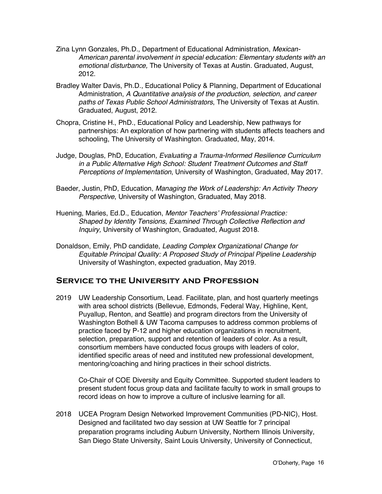- Zina Lynn Gonzales, Ph.D., Department of Educational Administration, *Mexican-American parental involvement in special education: Elementary students with an emotional disturbance,* The University of Texas at Austin. Graduated, August, 2012.
- Bradley Walter Davis, Ph.D., Educational Policy & Planning, Department of Educational Administration, *A Quantitative analysis of the production, selection, and career paths of Texas Public School Administrators*, The University of Texas at Austin. Graduated, August, 2012.
- Chopra, Cristine H., PhD., Educational Policy and Leadership, New pathways for partnerships: An exploration of how partnering with students affects teachers and schooling, The University of Washington. Graduated, May, 2014.
- Judge, Douglas, PhD, Education*, Evaluating a Trauma-Informed Resilience Curriculum in a Public Alternative High School: Student Treatment Outcomes and Staff Perceptions of Implementation*, University of Washington, Graduated, May 2017.
- Baeder, Justin, PhD, Education, *Managing the Work of Leadership: An Activity Theory Perspective*, University of Washington, Graduated, May 2018.
- Huening, Maries, Ed.D., Education, *Mentor Teachers' Professional Practice: Shaped by Identity Tensions, Examined Through Collective Reflection and Inquiry,* University of Washington, Graduated, August 2018.
- Donaldson, Emily, PhD candidate, *Leading Complex Organizational Change for Equitable Principal Quality: A Proposed Study of Principal Pipeline Leadership* University of Washington, expected graduation, May 2019.

# **Service to the University and Profession**

2019 UW Leadership Consortium, Lead. Facilitate, plan, and host quarterly meetings with area school districts (Bellevue, Edmonds, Federal Way, Highline, Kent, Puyallup, Renton, and Seattle) and program directors from the University of Washington Bothell & UW Tacoma campuses to address common problems of practice faced by P-12 and higher education organizations in recruitment, selection, preparation, support and retention of leaders of color. As a result, consortium members have conducted focus groups with leaders of color, identified specific areas of need and instituted new professional development, mentoring/coaching and hiring practices in their school districts.

Co-Chair of COE Diversity and Equity Committee. Supported student leaders to present student focus group data and facilitate faculty to work in small groups to record ideas on how to improve a culture of inclusive learning for all.

2018 UCEA Program Design Networked Improvement Communities (PD-NIC), Host. Designed and facilitated two day session at UW Seattle for 7 principal preparation programs including Auburn University, Northern Illinois University, San Diego State University, Saint Louis University, University of Connecticut,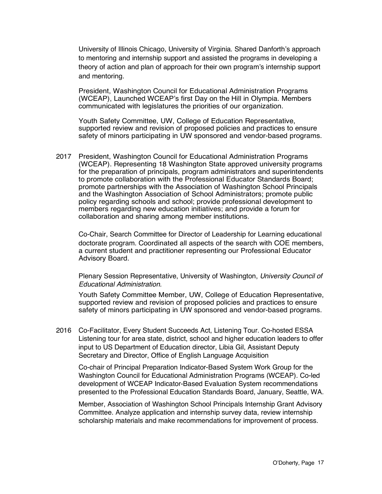University of Illinois Chicago, University of Virginia. Shared Danforth's approach to mentoring and internship support and assisted the programs in developing a theory of action and plan of approach for their own program's internship support and mentoring.

President, Washington Council for Educational Administration Programs (WCEAP), Launched WCEAP's first Day on the Hill in Olympia. Members communicated with legislatures the priorities of our organization.

Youth Safety Committee, UW, College of Education Representative, supported review and revision of proposed policies and practices to ensure safety of minors participating in UW sponsored and vendor-based programs.

2017 President, Washington Council for Educational Administration Programs (WCEAP). Representing 18 Washington State approved university programs for the preparation of principals, program administrators and superintendents to promote collaboration with the Professional Educator Standards Board; promote partnerships with the Association of Washington School Principals and the Washington Association of School Administrators; promote public policy regarding schools and school; provide professional development to members regarding new education initiatives; and provide a forum for collaboration and sharing among member institutions.

Co-Chair, Search Committee for Director of Leadership for Learning educational doctorate program. Coordinated all aspects of the search with COE members, a current student and practitioner representing our Professional Educator Advisory Board.

Plenary Session Representative, University of Washington, *University Council of Educational Administration.*

Youth Safety Committee Member, UW, College of Education Representative, supported review and revision of proposed policies and practices to ensure safety of minors participating in UW sponsored and vendor-based programs.

2016 Co-Facilitator, Every Student Succeeds Act, Listening Tour. Co-hosted ESSA Listening tour for area state, district, school and higher education leaders to offer input to US Department of Education director, Libia Gil, Assistant Deputy Secretary and Director, Office of English Language Acquisition

Co-chair of Principal Preparation Indicator-Based System Work Group for the Washington Council for Educational Administration Programs (WCEAP). Co-led development of WCEAP Indicator-Based Evaluation System recommendations presented to the Professional Education Standards Board, January, Seattle, WA.

Member, Association of Washington School Principals Internship Grant Advisory Committee. Analyze application and internship survey data, review internship scholarship materials and make recommendations for improvement of process.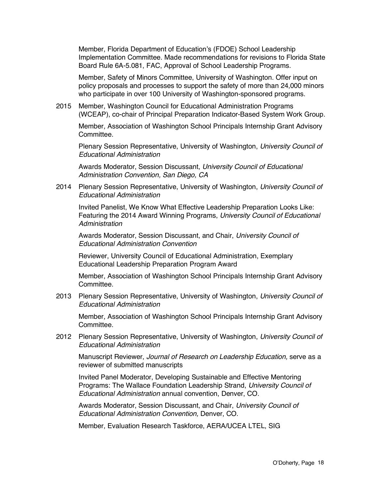Member, Florida Department of Education's (FDOE) School Leadership Implementation Committee. Made recommendations for revisions to Florida State Board Rule 6A-5.081, FAC, Approval of School Leadership Programs.

Member, Safety of Minors Committee, University of Washington. Offer input on policy proposals and processes to support the safety of more than 24,000 minors who participate in over 100 University of Washington-sponsored programs.

2015 Member, Washington Council for Educational Administration Programs (WCEAP), co-chair of Principal Preparation Indicator-Based System Work Group.

Member, Association of Washington School Principals Internship Grant Advisory Committee.

Plenary Session Representative, University of Washington, *University Council of Educational Administration*

Awards Moderator, Session Discussant, *University Council of Educational Administration Convention, San Diego, CA*

2014 Plenary Session Representative, University of Washington, *University Council of Educational Administration*

Invited Panelist, We Know What Effective Leadership Preparation Looks Like: Featuring the 2014 Award Winning Programs, *University Council of Educational Administration*

Awards Moderator, Session Discussant, and Chair, *University Council of Educational Administration Convention*

Reviewer, University Council of Educational Administration, Exemplary Educational Leadership Preparation Program Award

Member, Association of Washington School Principals Internship Grant Advisory Committee.

2013 Plenary Session Representative, University of Washington, *University Council of Educational Administration*

Member, Association of Washington School Principals Internship Grant Advisory Committee.

2012 Plenary Session Representative, University of Washington, *University Council of Educational Administration*

Manuscript Reviewer, *Journal of Research on Leadership Education,* serve as a reviewer of submitted manuscripts

Invited Panel Moderator, Developing Sustainable and Effective Mentoring Programs: The Wallace Foundation Leadership Strand, *University Council of Educational Administration* annual convention, Denver, CO.

Awards Moderator, Session Discussant, and Chair, *University Council of Educational Administration Convention,* Denver, CO.

Member, Evaluation Research Taskforce, AERA/UCEA LTEL, SIG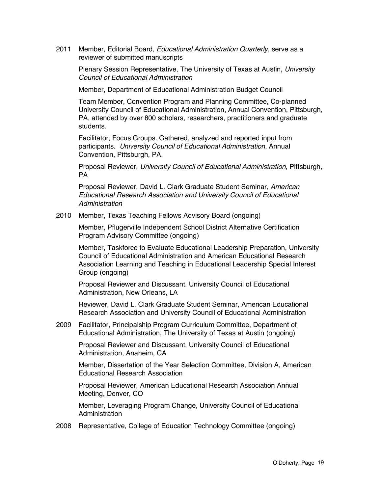2011 Member, Editorial Board, *Educational Administration Quarterly*, serve as a reviewer of submitted manuscripts

Plenary Session Representative, The University of Texas at Austin, *University Council of Educational Administration*

Member, Department of Educational Administration Budget Council

Team Member, Convention Program and Planning Committee, Co-planned University Council of Educational Administration, Annual Convention, Pittsburgh, PA, attended by over 800 scholars, researchers, practitioners and graduate students.

Facilitator, Focus Groups. Gathered, analyzed and reported input from participants. *University Council of Educational Administration*, Annual Convention, Pittsburgh, PA.

Proposal Reviewer, *University Council of Educational Administration*, Pittsburgh, PA

Proposal Reviewer, David L. Clark Graduate Student Seminar, *American Educational Research Association and University Council of Educational Administration*

2010 Member, Texas Teaching Fellows Advisory Board (ongoing)

Member, Pflugerville Independent School District Alternative Certification Program Advisory Committee (ongoing)

Member, Taskforce to Evaluate Educational Leadership Preparation, University Council of Educational Administration and American Educational Research Association Learning and Teaching in Educational Leadership Special Interest Group (ongoing)

Proposal Reviewer and Discussant. University Council of Educational Administration, New Orleans, LA

Reviewer, David L. Clark Graduate Student Seminar, American Educational Research Association and University Council of Educational Administration

2009 Facilitator, Principalship Program Curriculum Committee, Department of Educational Administration, The University of Texas at Austin (ongoing)

Proposal Reviewer and Discussant. University Council of Educational Administration, Anaheim, CA

Member, Dissertation of the Year Selection Committee, Division A, American Educational Research Association

Proposal Reviewer, American Educational Research Association Annual Meeting, Denver, CO

Member, Leveraging Program Change, University Council of Educational Administration

2008 Representative, College of Education Technology Committee (ongoing)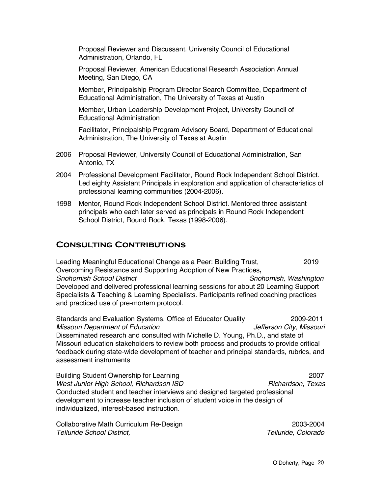Proposal Reviewer and Discussant. University Council of Educational Administration, Orlando, FL

Proposal Reviewer, American Educational Research Association Annual Meeting, San Diego, CA

Member, Principalship Program Director Search Committee, Department of Educational Administration, The University of Texas at Austin

Member, Urban Leadership Development Project, University Council of Educational Administration

Facilitator, Principalship Program Advisory Board, Department of Educational Administration, The University of Texas at Austin

- 2006 Proposal Reviewer, University Council of Educational Administration, San Antonio, TX
- 2004 Professional Development Facilitator, Round Rock Independent School District. Led eighty Assistant Principals in exploration and application of characteristics of professional learning communities (2004-2006).
- 1998 Mentor, Round Rock Independent School District. Mentored three assistant principals who each later served as principals in Round Rock Independent School District, Round Rock, Texas (1998-2006).

# **Consulting Contributions**

Leading Meaningful Educational Change as a Peer: Building Trust, 2019 Overcoming Resistance and Supporting Adoption of New Practices**,**  *Snohomish School District Snohomish, Washington* Developed and delivered professional learning sessions for about 20 Learning Support Specialists & Teaching & Learning Specialists. Participants refined coaching practices and practiced use of pre-mortem protocol.

Standards and Evaluation Systems, Office of Educator Quality 2009-2011 *Missouri Department of Education Jefferson City, Missouri* Disseminated research and consulted with Michelle D. Young, Ph.D., and state of Missouri education stakeholders to review both process and products to provide critical feedback during state-wide development of teacher and principal standards, rubrics, and assessment instruments

Building Student Ownership for Learning 2007 *West Junior High School, Richardson ISD* **Richardson, Texas** *Richardson, Texas* Conducted student and teacher interviews and designed targeted professional development to increase teacher inclusion of student voice in the design of individualized, interest-based instruction.

Collaborative Math Curriculum Re-Design 2003-2004 *Telluride School District, Telluride, Colorado*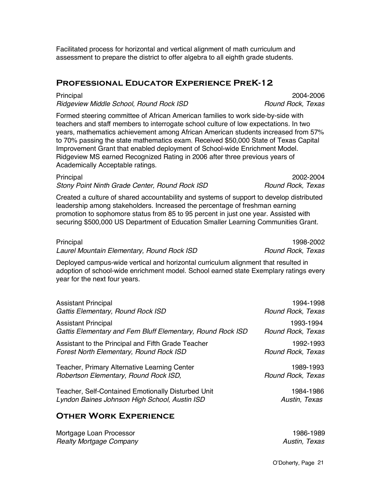Facilitated process for horizontal and vertical alignment of math curriculum and assessment to prepare the district to offer algebra to all eighth grade students.

## **Professional Educator Experience PreK-12**

Principal 2004-2006 *Ridgeview Middle School, Round Rock ISD Round Rock, Texas*

Formed steering committee of African American families to work side-by-side with teachers and staff members to interrogate school culture of low expectations. In two years, mathematics achievement among African American students increased from 57% to 70% passing the state mathematics exam. Received \$50,000 State of Texas Capital Improvement Grant that enabled deployment of School-wide Enrichment Model. Ridgeview MS earned Recognized Rating in 2006 after three previous years of Academically Acceptable ratings.

Principal 2002-2004 *Stony Point Ninth Grade Center, Round Rock ISD Round Rock, Texas*

Created a culture of shared accountability and systems of support to develop distributed leadership among stakeholders. Increased the percentage of freshman earning promotion to sophomore status from 85 to 95 percent in just one year. Assisted with securing \$500,000 US Department of Education Smaller Learning Communities Grant.

| Principal                                  | 1998-2002         |
|--------------------------------------------|-------------------|
| Laurel Mountain Elementary, Round Rock ISD | Round Rock, Texas |

Deployed campus-wide vertical and horizontal curriculum alignment that resulted in adoption of school-wide enrichment model. School earned state Exemplary ratings every year for the next four years.

| <b>Assistant Principal</b>                                  | 1994-1998         |
|-------------------------------------------------------------|-------------------|
| Gattis Elementary, Round Rock ISD                           | Round Rock, Texas |
| <b>Assistant Principal</b>                                  | 1993-1994         |
| Gattis Elementary and Fern Bluff Elementary, Round Rock ISD | Round Rock, Texas |
| Assistant to the Principal and Fifth Grade Teacher          | 1992-1993         |
| Forest North Elementary, Round Rock ISD                     | Round Rock, Texas |
| Teacher, Primary Alternative Learning Center                | 1989-1993         |
| Robertson Elementary, Round Rock ISD,                       | Round Rock, Texas |
| Teacher, Self-Contained Emotionally Disturbed Unit          | 1984-1986         |
| Lyndon Baines Johnson High School, Austin ISD               | Austin, Texas     |

# **Other Work Experience**

| Mortgage Loan Processor        | 1986-1989     |
|--------------------------------|---------------|
| <b>Realty Mortgage Company</b> | Austin, Texas |

O'Doherty, Page 21